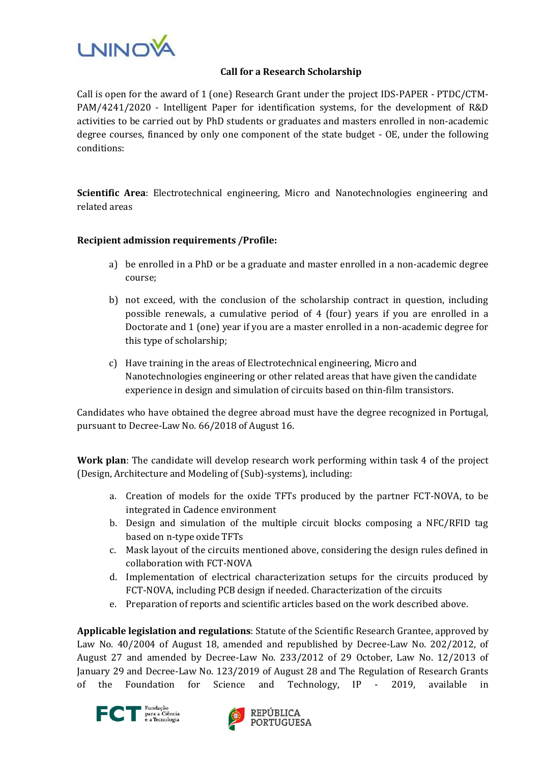

## **Call for a Research Scholarship**

Call is open for the award of 1 (one) Research Grant under the project IDS-PAPER - PTDC/CTM-PAM/4241/2020 - Intelligent Paper for identification systems, for the development of R&D activities to be carried out by PhD students or graduates and masters enrolled in non-academic degree courses, financed by only one component of the state budget - OE, under the following conditions:

**Scientific Area**: Electrotechnical engineering, Micro and Nanotechnologies engineering and related areas

## **Recipient admission requirements /Profile:**

- a) be enrolled in a PhD or be a graduate and master enrolled in a non-academic degree course;
- b) not exceed, with the conclusion of the scholarship contract in question, including possible renewals, a cumulative period of 4 (four) years if you are enrolled in a Doctorate and 1 (one) year if you are a master enrolled in a non-academic degree for this type of scholarship;
- c) Have training in the areas of Electrotechnical engineering, Micro and Nanotechnologies engineering or other related areas that have given the candidate experience in design and simulation of circuits based on thin-film transistors.

Candidates who have obtained the degree abroad must have the degree recognized in Portugal, pursuant to Decree-Law No. 66/2018 of August 16.

**Work plan**: The candidate will develop research work performing within task 4 of the project (Design, Architecture and Modeling of (Sub)-systems), including:

- a. Creation of models for the oxide TFTs produced by the partner FCT-NOVA, to be integrated in Cadence environment
- b. Design and simulation of the multiple circuit blocks composing a NFC/RFID tag based on n-type oxide TFTs
- c. Mask layout of the circuits mentioned above, considering the design rules defined in collaboration with FCT-NOVA
- d. Implementation of electrical characterization setups for the circuits produced by FCT-NOVA, including PCB design if needed. Characterization of the circuits
- e. Preparation of reports and scientific articles based on the work described above.

**Applicable legislation and regulations**: Statute of the Scientific Research Grantee, approved by Law No. 40/2004 of August 18, amended and republished by Decree-Law No. 202/2012, of August 27 and amended by Decree-Law No. 233/2012 of 29 October, Law No. 12/2013 of January 29 and Decree-Law No. 123/2019 of August 28 and The Regulation of Research Grants of the Foundation for Science and Technology, IP - 2019, available in



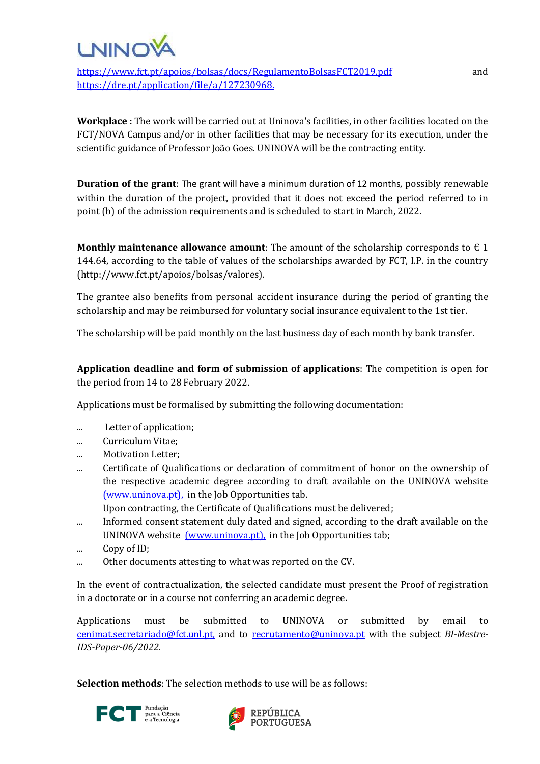

https://ww<u>w.fct.pt/apoios/bolsas/docs/RegulamentoBolsasFCT2019.pdf</u> and <https://dre.pt/application/file/a/127230968.>

**Workplace :** The work will be carried out at Uninova's facilities, in other facilities located on the FCT/NOVA Campus and/or in other facilities that may be necessary for its execution, under the scientific guidance of Professor João Goes. UNINOVA will be the contracting entity.

**Duration of the grant**: The grant will have a minimum duration of 12 months, possibly renewable within the duration of the project, provided that it does not exceed the period referred to in point (b) of the admission requirements and is scheduled to start in March, 2022.

**Monthly maintenance allowance amount:** The amount of the scholarship corresponds to  $\epsilon$  1 144.64, according to the table of values of the scholarships awarded by FCT, I.P. in the country (http://www.fct.pt/apoios/bolsas/valores).

The grantee also benefits from personal accident insurance during the period of granting the scholarship and may be reimbursed for voluntary social insurance equivalent to the 1st tier.

The scholarship will be paid monthly on the last business day of each month by bank transfer.

**Application deadline and form of submission of applications**: The competition is open for the period from 14 to 28 February 2022.

Applications must be formalised by submitting the following documentation:

- ... Letter of application;
- ... Curriculum Vitae;
- ... Motivation Letter;
- ... Certificate of Qualifications or declaration of commitment of honor on the ownership of the respective academic degree according to draft available on the UNINOVA website [\(www.uninova.pt\),](http://www.uninova.pt/) in the Job Opportunities tab.
	- Upon contracting, the Certificate of Qualifications must be delivered;
- ... Informed consent statement duly dated and signed, according to the draft available on the UNINOVA website *(www.uninova.pt)*, in the Job Opportunities tab;
- ... Copy of ID;
- ... Other documents attesting to what was reported on the CV.

In the event of contractualization, the selected candidate must present the Proof of registration in a doctorate or in a course not conferring an academic degree.

Applications must be submitted to UNINOVA or submitted by email to [cenimat.secretariado@fct.unl.pt,](mailto:cenimat.secretariado@fct.unl.pt) and to [recrutamento@uninova.pt](mailto:recrutamento@uninova.pt) with the subject *BI-Mestre-IDS-Paper-06/2022*.

**Selection methods**: The selection methods to use will be as follows: